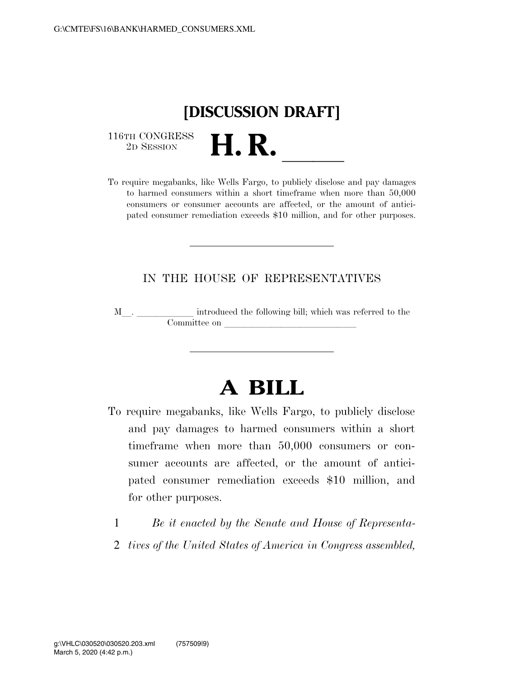

116TH CONGRESS<br>2D SESSION

116TH CONGRESS<br>
2D SESSION **H. R.** <u>Indeed Section</u><br>
To require megabanks, like Wells Fargo, to publicly disclose and pay damages to harmed consumers within a short timeframe when more than 50,000 consumers or consumer accounts are affected, or the amount of anticipated consumer remediation exceeds \$10 million, and for other purposes.

### IN THE HOUSE OF REPRESENTATIVES

M<sub>\_\_</sub>\_\_\_\_\_\_\_\_\_\_\_\_\_\_ introduced the following bill; which was referred to the Committee on llllllllllllll

# **A BILL**

- To require megabanks, like Wells Fargo, to publicly disclose and pay damages to harmed consumers within a short timeframe when more than 50,000 consumers or consumer accounts are affected, or the amount of anticipated consumer remediation exceeds \$10 million, and for other purposes.
	- 1 *Be it enacted by the Senate and House of Representa-*
	- 2 *tives of the United States of America in Congress assembled,*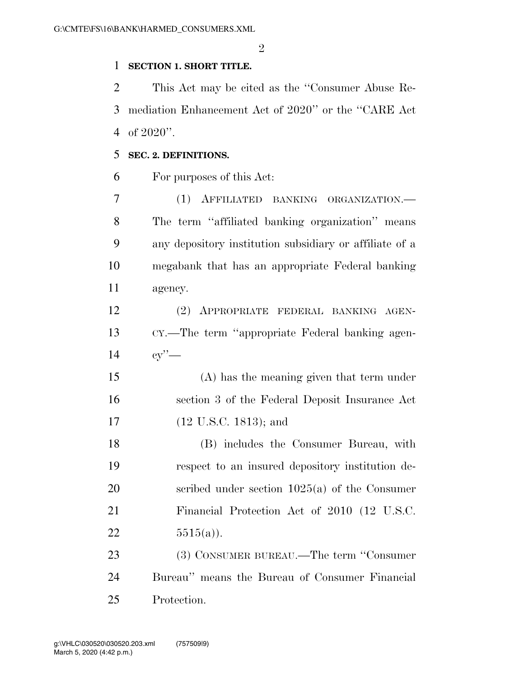#### **SECTION 1. SHORT TITLE.**

 This Act may be cited as the ''Consumer Abuse Re- mediation Enhancement Act of 2020'' or the ''CARE Act of 2020''.

#### **SEC. 2. DEFINITIONS.**

For purposes of this Act:

 (1) AFFILIATED BANKING ORGANIZATION.— The term ''affiliated banking organization'' means any depository institution subsidiary or affiliate of a megabank that has an appropriate Federal banking agency.

 (2) APPROPRIATE FEDERAL BANKING AGEN- CY.—The term ''appropriate Federal banking agen-cy''—

 (A) has the meaning given that term under section 3 of the Federal Deposit Insurance Act 17 (12 U.S.C. 1813); and

 (B) includes the Consumer Bureau, with respect to an insured depository institution de- scribed under section 1025(a) of the Consumer Financial Protection Act of 2010 (12 U.S.C. 22  $5515(a)$ .

23 (3) CONSUMER BUREAU.—The term "Consumer" Bureau'' means the Bureau of Consumer Financial Protection.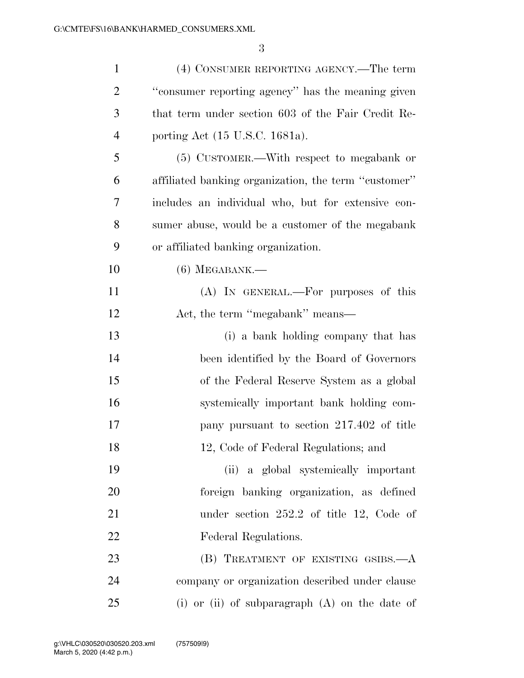| $\mathbf{1}$   | (4) CONSUMER REPORTING AGENCY.—The term              |
|----------------|------------------------------------------------------|
| 2              | "consumer reporting agency" has the meaning given    |
| 3              | that term under section 603 of the Fair Credit Re-   |
| $\overline{4}$ | porting Act (15 U.S.C. 1681a).                       |
| 5              | (5) CUSTOMER.—With respect to megabank or            |
| 6              | affiliated banking organization, the term "customer" |
| 7              | includes an individual who, but for extensive con-   |
| 8              | sumer abuse, would be a customer of the megabank     |
| 9              | or affiliated banking organization.                  |
| 10             | $(6)$ MEGABANK.—                                     |
| 11             | (A) IN GENERAL.—For purposes of this                 |
| 12             | Act, the term "megabank" means—                      |
| 13             | (i) a bank holding company that has                  |
| 14             | been identified by the Board of Governors            |
| 15             | of the Federal Reserve System as a global            |
| 16             | systemically important bank holding com-             |
| 17             | pany pursuant to section 217.402 of title            |
| 18             | 12, Code of Federal Regulations; and                 |
| 19             | (ii) a global systemically important                 |
| 20             | foreign banking organization, as defined             |
| 21             | under section $252.2$ of title 12, Code of           |
| 22             | Federal Regulations.                                 |
| 23             | (B) TREATMENT OF EXISTING GSIBS.—A                   |
| 24             | company or organization described under clause       |
| 25             | (i) or (ii) of subparagraph $(A)$ on the date of     |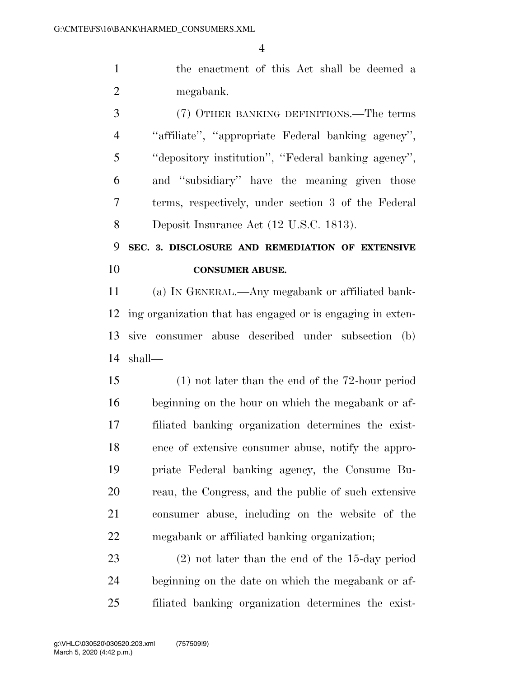the enactment of this Act shall be deemed a megabank.

 (7) OTHER BANKING DEFINITIONS.—The terms ''affiliate'', ''appropriate Federal banking agency'', ''depository institution'', ''Federal banking agency'', and ''subsidiary'' have the meaning given those terms, respectively, under section 3 of the Federal Deposit Insurance Act (12 U.S.C. 1813).

## **SEC. 3. DISCLOSURE AND REMEDIATION OF EXTENSIVE CONSUMER ABUSE.**

 (a) IN GENERAL.—Any megabank or affiliated bank- ing organization that has engaged or is engaging in exten- sive consumer abuse described under subsection (b) shall—

 (1) not later than the end of the 72-hour period beginning on the hour on which the megabank or af- filiated banking organization determines the exist- ence of extensive consumer abuse, notify the appro- priate Federal banking agency, the Consume Bu- reau, the Congress, and the public of such extensive consumer abuse, including on the website of the megabank or affiliated banking organization;

 (2) not later than the end of the 15-day period beginning on the date on which the megabank or af-filiated banking organization determines the exist-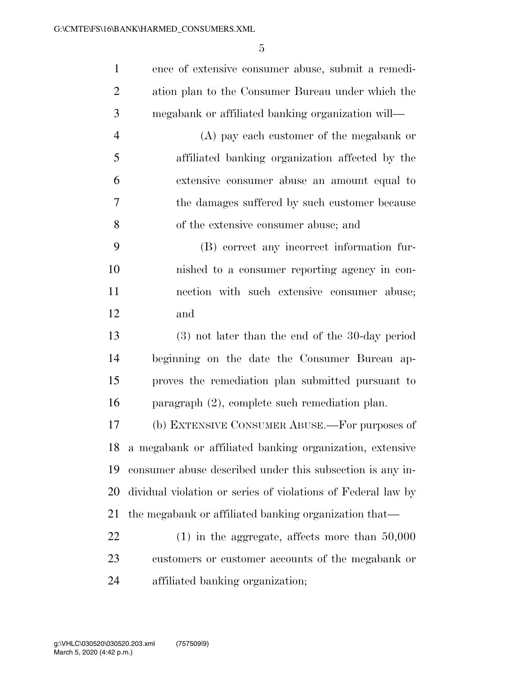ence of extensive consumer abuse, submit a remedi- ation plan to the Consumer Bureau under which the megabank or affiliated banking organization will—

 (A) pay each customer of the megabank or affiliated banking organization affected by the extensive consumer abuse an amount equal to the damages suffered by such customer because of the extensive consumer abuse; and

 (B) correct any incorrect information fur- nished to a consumer reporting agency in con- nection with such extensive consumer abuse; and

 (3) not later than the end of the 30-day period beginning on the date the Consumer Bureau ap- proves the remediation plan submitted pursuant to paragraph (2), complete such remediation plan.

 (b) EXTENSIVE CONSUMER ABUSE.—For purposes of a megabank or affiliated banking organization, extensive consumer abuse described under this subsection is any in- dividual violation or series of violations of Federal law by the megabank or affiliated banking organization that—

 (1) in the aggregate, affects more than 50,000 customers or customer accounts of the megabank or affiliated banking organization;